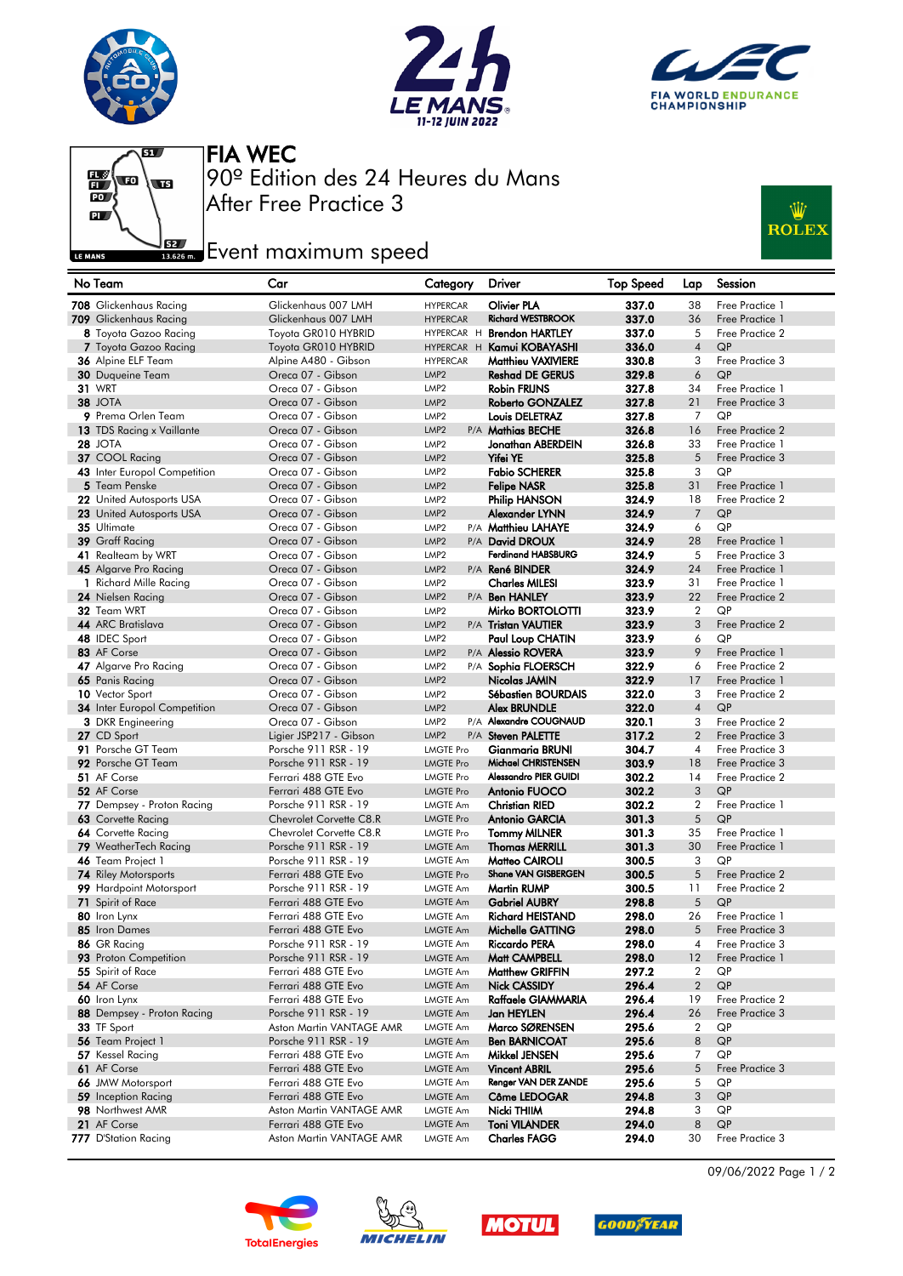







After Free Practice 3 90º Edition des 24 Heures du Mans FIA WEC

## **Example 2**<br>**Example 2** Event maximum speed



| No Team                               | Car                                              | Category                             | <b>Driver</b>                          | <b>Top Speed</b> | Lap                  | Session               |
|---------------------------------------|--------------------------------------------------|--------------------------------------|----------------------------------------|------------------|----------------------|-----------------------|
| 708 Glickenhaus Racing                | Glickenhaus 007 LMH                              | <b>HYPERCAR</b>                      | <b>Olivier PLA</b>                     | 337.0            | 38                   | Free Practice 1       |
| 709 Glickenhaus Racing                | Glickenhaus 007 LMH                              | <b>HYPERCAR</b>                      | <b>Richard WESTBROOK</b>               | 337.0            | 36                   | Free Practice 1       |
| 8 Toyota Gazoo Racing                 | Toyota GR010 HYBRID                              |                                      | HYPERCAR H Brendon HARTLEY             | 337.0            | 5                    | Free Practice 2       |
| 7 Toyota Gazoo Racing                 | Toyota GR010 HYBRID                              |                                      | HYPERCAR H Kamui KOBAYASHI             | 336.0            | $\overline{4}$       | QP                    |
| 36 Alpine ELF Team                    | Alpine A480 - Gibson                             | <b>HYPERCAR</b>                      | <b>Matthieu VAXIVIERE</b>              | 330.8            | 3                    | Free Practice 3       |
| 30 Duqueine Team                      | Oreca 07 - Gibson                                | LMP <sub>2</sub>                     | <b>Reshad DE GERUS</b>                 | 329.8            | 6                    | QP                    |
| <b>31 WRT</b>                         | Oreca 07 - Gibson                                | LMP <sub>2</sub>                     | <b>Robin FRIJNS</b>                    | 327.8            | 34                   | Free Practice 1       |
| 38 JOTA                               | Oreca 07 - Gibson                                | LMP <sub>2</sub>                     | Roberto GONZALEZ                       | 327.8            | 21                   | Free Practice 3       |
| 9 Prema Orlen Team                    | Oreca 07 - Gibson                                | LMP <sub>2</sub>                     | Louis DELETRAZ                         | 327.8            | 7                    | QP                    |
| 13 TDS Racing x Vaillante             | Oreca 07 - Gibson                                | LMP <sub>2</sub>                     | P/A Mathias BECHE                      | 326.8            | 16                   | Free Practice 2       |
| <b>28 JOTA</b>                        | Oreca 07 - Gibson                                | LMP <sub>2</sub>                     | Jonathan ABERDEIN                      | 326.8            | 33                   | Free Practice 1       |
| 37 COOL Racing                        | Oreca 07 - Gibson                                | LMP <sub>2</sub>                     | Yifei YE                               | 325.8            | 5                    | Free Practice 3       |
| 43 Inter Europol Competition          | Oreca 07 - Gibson                                | LMP <sub>2</sub>                     | <b>Fabio SCHERER</b>                   | 325.8            | 3                    | QP                    |
| 5 Team Penske                         | Oreca 07 - Gibson                                | LMP <sub>2</sub>                     | <b>Felipe NASR</b>                     | 325.8            | 31                   | Free Practice 1       |
| 22 United Autosports USA              | Oreca 07 - Gibson                                | LMP <sub>2</sub>                     | Philip HANSON                          | 324.9            | 18                   | Free Practice 2       |
| 23 United Autosports USA              | Oreca 07 - Gibson                                | LMP <sub>2</sub>                     | Alexander LYNN                         | 324.9            | $\overline{7}$       | QP                    |
| 35 Ultimate                           | Oreca 07 - Gibson                                | LMP <sub>2</sub>                     | P/A Matthieu LAHAYE                    | 324.9            | 6                    | QP                    |
| 39 Graff Racing                       | Oreca 07 - Gibson                                | LMP <sub>2</sub>                     | P/A David DROUX                        | 324.9            | 28                   | Free Practice 1       |
| 41 Realteam by WRT                    | Oreca 07 - Gibson                                | LMP <sub>2</sub>                     | <b>Ferdinand HABSBURG</b>              | 324.9            | 5                    | Free Practice 3       |
| 45 Algarve Pro Racing                 | Oreca 07 - Gibson                                | LMP <sub>2</sub>                     | P/A René BINDER                        | 324.9            | 24                   | Free Practice 1       |
| 1 Richard Mille Racing                | Oreca 07 - Gibson                                | LMP <sub>2</sub>                     | <b>Charles MILESI</b>                  | 323.9            | 31                   | Free Practice 1       |
| 24 Nielsen Racing                     | Oreca 07 - Gibson                                | LMP <sub>2</sub>                     | P/A Ben HANLEY                         | 323.9            | 22                   | Free Practice 2<br>QP |
| 32 Team WRT<br>44 ARC Bratislava      | Oreca 07 - Gibson                                | LMP <sub>2</sub><br>LMP <sub>2</sub> | Mirko BORTOLOTTI                       | 323.9            | $\overline{2}$       |                       |
|                                       | Oreca 07 - Gibson<br>Oreca 07 - Gibson           |                                      | P/A Tristan VAUTIER                    | 323.9            | 3<br>6               | Free Practice 2<br>QP |
| 48 IDEC Sport<br>83 AF Corse          | Oreca 07 - Gibson                                | LMP <sub>2</sub><br>LMP <sub>2</sub> | Paul Loup CHATIN<br>P/A Alessio ROVERA | 323.9<br>323.9   | 9                    | Free Practice 1       |
| 47 Algarve Pro Racing                 | Oreca 07 - Gibson                                | LMP <sub>2</sub>                     | P/A Sophia FLOERSCH                    | 322.9            | 6                    | Free Practice 2       |
| 65 Panis Racing                       | Oreca 07 - Gibson                                | LMP <sub>2</sub>                     | Nicolas JAMIN                          | 322.9            | 17                   | Free Practice 1       |
| 10 Vector Sport                       | Oreca 07 - Gibson                                | LMP <sub>2</sub>                     | Sébastien BOURDAIS                     | 322.0            | 3                    | Free Practice 2       |
| <b>34</b> Inter Europol Competition   | Oreca 07 - Gibson                                | LMP <sub>2</sub>                     | <b>Alex BRUNDLE</b>                    | 322.0            | $\overline{4}$       | QP                    |
| <b>3</b> DKR Engineering              | Oreca 07 - Gibson                                | LMP <sub>2</sub>                     | P/A Alexandre COUGNAUD                 | 320.1            | 3                    | Free Practice 2       |
| 27 CD Sport                           | Ligier JSP217 - Gibson                           | LMP <sub>2</sub>                     | P/A Steven PALETTE                     | 317.2            | $\overline{2}$       | Free Practice 3       |
| 91 Porsche GT Team                    | Porsche 911 RSR - 19                             | LMGTE Pro                            | <b>Gianmaria BRUNI</b>                 | 304.7            | $\overline{4}$       | Free Practice 3       |
| 92 Porsche GT Team                    | Porsche 911 RSR - 19                             | <b>LMGTE Pro</b>                     | Michael CHRISTENSEN                    | 303.9            | 18                   | Free Practice 3       |
| 51 AF Corse                           | Ferrari 488 GTE Evo                              | <b>LMGTE Pro</b>                     | Alessandro PIER GUIDI                  | 302.2            | 14                   | Free Practice 2       |
| 52 AF Corse                           | Ferrari 488 GTE Evo                              | <b>LMGTE Pro</b>                     | Antonio FUOCO                          | 302.2            | 3                    | QP                    |
| 77 Dempsey - Proton Racing            | Porsche 911 RSR - 19                             | LMGTE Am                             | <b>Christian RIED</b>                  | 302.2            | $\boldsymbol{2}$     | Free Practice 1       |
| 63 Corvette Racing                    | Chevrolet Corvette C8.R                          | <b>LMGTE Pro</b>                     | <b>Antonio GARCIA</b>                  | 301.3            | 5                    | QP                    |
| 64 Corvette Racing                    | Chevrolet Corvette C8.R                          | <b>LMGTE Pro</b>                     | <b>Tommy MILNER</b>                    | 301.3            | 35                   | Free Practice 1       |
| 79 WeatherTech Racing                 | Porsche 911 RSR - 19                             | <b>LMGTE Am</b>                      | <b>Thomas MERRILL</b>                  | 301.3            | 30                   | Free Practice 1       |
| 46 Team Project 1                     | Porsche 911 RSR - 19                             | LMGTE Am                             | Matteo CAIROLI                         | 300.5            | 3                    | QP                    |
| <b>74</b> Riley Motorsports           | Ferrari 488 GTE Evo                              | <b>LMGTE Pro</b>                     | Shane VAN GISBERGEN                    | 300.5            | 5                    | Free Practice 2       |
| 99 Hardpoint Motorsport               | Porsche 911 RSR - 19                             | <b>LMGTE Am</b>                      | <b>Martin RUMP</b>                     | 300.5            | 11                   | Free Practice 2       |
| 71 Spirit of Race                     | Ferrari 488 GTE Evo                              | <b>LMGTE Am</b>                      | <b>Gabriel AUBRY</b>                   | 298.8            | 5                    | QP                    |
| 80 Iron Lynx                          | Ferrari 488 GTE Evo                              | LMGTE Am                             | <b>Richard HEISTAND</b>                | 298.0            | 26                   | Free Practice 1       |
| 85 Iron Dames                         | Ferrari 488 GTE Evo                              | <b>LMGTE Am</b>                      | Michelle GATTING                       | 298.0            | 5                    | Free Practice 3       |
| 86 GR Racing                          | Porsche 911 RSR - 19                             | LMGTE Am                             | Riccardo PERA                          | 298.0            | 4                    | Free Practice 3       |
| 93 Proton Competition                 | Porsche 911 RSR - 19                             | <b>LMGTE Am</b>                      | Matt CAMPBELL                          | 298.0            | 12                   | Free Practice 1       |
| 55 Spirit of Race                     | Ferrari 488 GTE Evo                              | LMGTE Am                             | <b>Matthew GRIFFIN</b>                 | 297.2            | $\overline{2}$       | QP                    |
| 54 AF Corse                           | Ferrari 488 GTE Evo                              | <b>LMGTE Am</b>                      | <b>Nick CASSIDY</b>                    | 296.4            | $\sqrt{2}$           | QP                    |
| 60 Iron Lynx                          | Ferrari 488 GTE Evo                              | <b>LMGTE Am</b>                      | Raffaele GIAMMARIA                     | 296.4            | 19                   | Free Practice 2       |
| 88 Dempsey - Proton Racing            | Porsche 911 RSR - 19<br>Aston Martin VANTAGE AMR | <b>LMGTE Am</b>                      | Jan HEYLEN                             | 296.4            | 26<br>$\overline{2}$ | Free Practice 3<br>QP |
| 33 TF Sport                           |                                                  | <b>LMGTE Am</b>                      | Marco SØRENSEN<br><b>Ben BARNICOAT</b> | 295.6<br>295.6   | 8                    | QP                    |
| 56 Team Project 1<br>57 Kessel Racing | Porsche 911 RSR - 19<br>Ferrari 488 GTE Evo      | <b>LMGTE Am</b>                      |                                        | 295.6            | 7                    | QP                    |
| 61 AF Corse                           | Ferrari 488 GTE Evo                              | <b>LMGTE Am</b><br><b>LMGTE Am</b>   | Mikkel JENSEN<br><b>Vincent ABRIL</b>  | 295.6            | 5                    | Free Practice 3       |
| 66 JMW Motorsport                     | Ferrari 488 GTE Evo                              | LMGTE Am                             | Renger VAN DER ZANDE                   | 295.6            | 5                    | QP                    |
| 59 Inception Racing                   | Ferrari 488 GTE Evo                              | <b>LMGTE Am</b>                      | Côme LEDOGAR                           | 294.8            | 3                    | QP                    |
| 98 Northwest AMR                      | Aston Martin VANTAGE AMR                         | <b>LMGTE Am</b>                      | Nicki THIIM                            | 294.8            | 3                    | QP                    |
| 21 AF Corse                           | Ferrari 488 GTE Evo                              | <b>LMGTE Am</b>                      | <b>Toni VILANDER</b>                   | 294.0            | 8                    | QP                    |
| 777 D'Station Racing                  | Aston Martin VANTAGE AMR                         | LMGTE Am                             | <b>Charles FAGG</b>                    | 294.0            | 30                   | Free Practice 3       |









09/06/2022 Page 1 / 2